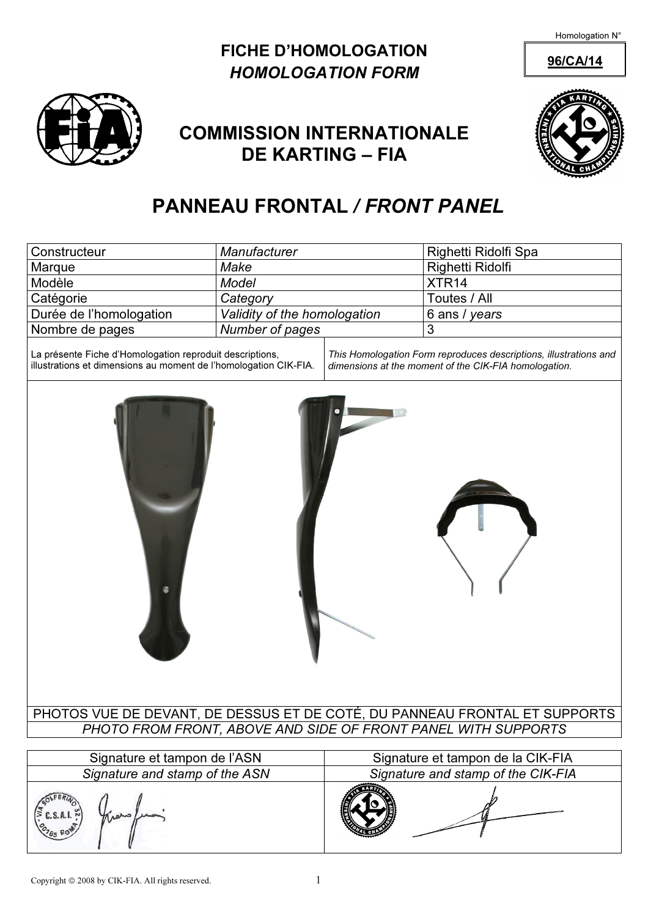Homologation N°

## FICHE D'HOMOLOGATION 96/CA/14 HOMOLOGATION FORM



# COMMISSION INTERNATIONALE DE KARTING – FIA



## PANNEAU FRONTAL / FRONT PANEL

| Constructeur                                                                                                                                                                                                                                               | Manufacturer                 |  | Righetti Ridolfi Spa |  |  |  |  |  |
|------------------------------------------------------------------------------------------------------------------------------------------------------------------------------------------------------------------------------------------------------------|------------------------------|--|----------------------|--|--|--|--|--|
| Marque                                                                                                                                                                                                                                                     | Make                         |  | Righetti Ridolfi     |  |  |  |  |  |
| Modèle                                                                                                                                                                                                                                                     | Model                        |  | XTR <sub>14</sub>    |  |  |  |  |  |
| Catégorie                                                                                                                                                                                                                                                  | Category                     |  | Toutes / All         |  |  |  |  |  |
| Durée de l'homologation                                                                                                                                                                                                                                    | Validity of the homologation |  | 6 ans / years        |  |  |  |  |  |
| Nombre de pages                                                                                                                                                                                                                                            | Number of pages              |  | 3                    |  |  |  |  |  |
| La présente Fiche d'Homologation reproduit descriptions,<br>This Homologation Form reproduces descriptions, illustrations and<br>illustrations et dimensions au moment de l'homologation CIK-FIA.<br>dimensions at the moment of the CIK-FIA homologation. |                              |  |                      |  |  |  |  |  |

PHOTOS VUE DE DEVANT, DE DESSUS ET DE COTÉ, DU PANNEAU FRONTAL ET SUPPORTS PHOTO FROM FRONT, ABOVE AND SIDE OF FRONT PANEL WITH SUPPORTS

| Signature et tampon de l'ASN         | Signature et tampon de la CIK-FIA  |  |  |  |
|--------------------------------------|------------------------------------|--|--|--|
| Signature and stamp of the ASN       | Signature and stamp of the CIK-FIA |  |  |  |
| C.S.A.I.~<br>thanks,<br>$o_{785 R0}$ |                                    |  |  |  |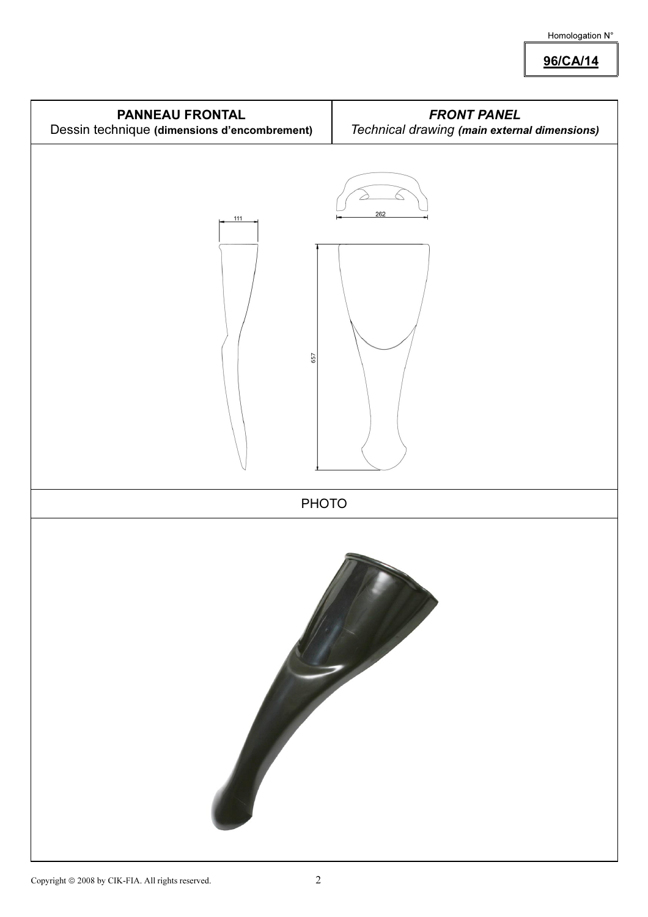#### Homologation N°

96/CA/14

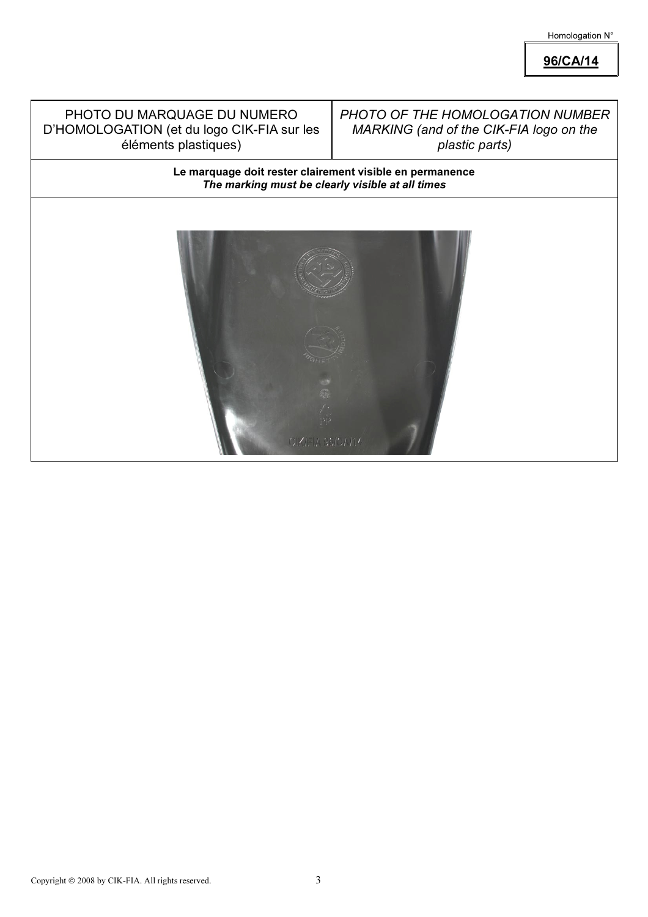Homologation N°

96/CA/14

#### PHOTO DU MARQUAGE DU NUMERO D'HOMOLOGATION (et du logo CIK-FIA sur les éléments plastiques)

#### PHOTO OF THE HOMOLOGATION NUMBER MARKING (and of the CIK-FIA logo on the plastic parts)

Le marquage doit rester clairement visible en permanence The marking must be clearly visible at all times